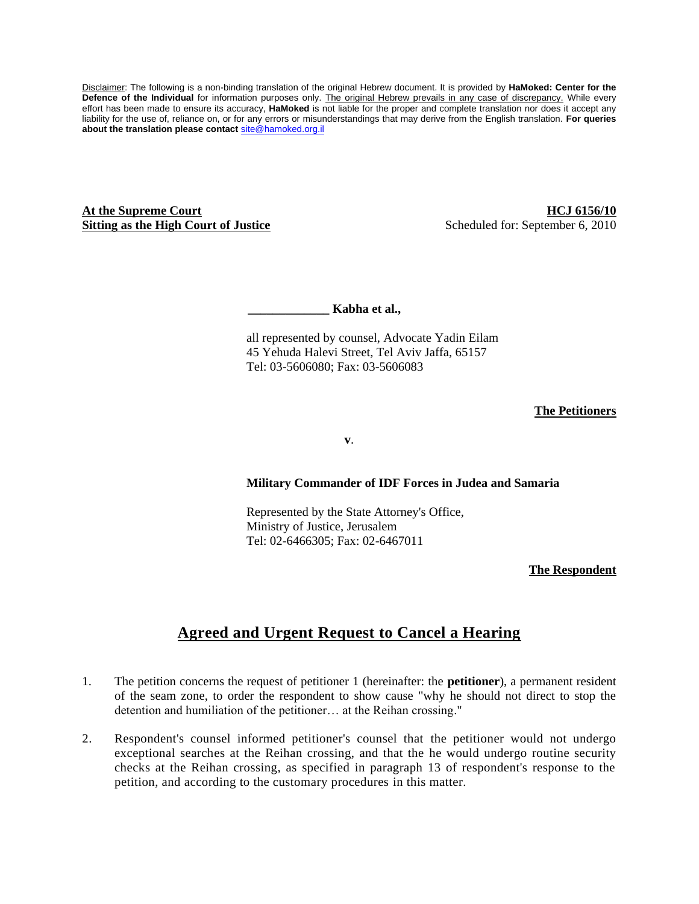Disclaimer: The following is a non-binding translation of the original Hebrew document. It is provided by **HaMoked: Center for the Defence of the Individual** for information purposes only. The original Hebrew prevails in any case of discrepancy. While every effort has been made to ensure its accuracy, **HaMoked** is not liable for the proper and complete translation nor does it accept any liability for the use of, reliance on, or for any errors or misunderstandings that may derive from the English translation. **For queries about the translation please contact** [site@hamoked.org.il](mailto:site@hamoked.org.il)

**At the Supreme Court Sitting as the High Court of Justice**

**HCJ 6156/10** Scheduled for: September 6, 2010

 **\_\_\_\_\_\_\_\_\_\_\_\_\_ Kabha et al.,** 

all represented by counsel, Advocate Yadin Eilam 45 Yehuda Halevi Street, Tel Aviv Jaffa, 65157 Tel: 03-5606080; Fax: 03-5606083

## **The Petitioners**

**v**.

## **Military Commander of IDF Forces in Judea and Samaria**

Represented by the State Attorney's Office, Ministry of Justice, Jerusalem Tel: 02-6466305; Fax: 02-6467011

**The Respondent**

## **Agreed and Urgent Request to Cancel a Hearing**

- 1. The petition concerns the request of petitioner 1 (hereinafter: the **petitioner**), a permanent resident of the seam zone, to order the respondent to show cause "why he should not direct to stop the detention and humiliation of the petitioner… at the Reihan crossing."
- 2. Respondent's counsel informed petitioner's counsel that the petitioner would not undergo exceptional searches at the Reihan crossing, and that the he would undergo routine security checks at the Reihan crossing, as specified in paragraph 13 of respondent's response to the petition, and according to the customary procedures in this matter.